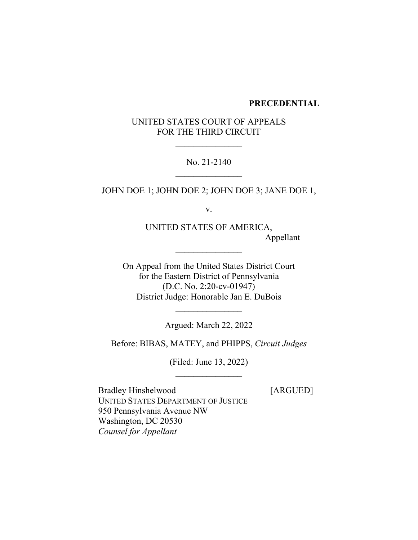#### **PRECEDENTIAL**

# UNITED STATES COURT OF APPEALS FOR THE THIRD CIRCUIT

 $\frac{1}{2}$ 

# No. 21-2140  $\frac{1}{2}$

JOHN DOE 1; JOHN DOE 2; JOHN DOE 3; JANE DOE 1,

v.

UNITED STATES OF AMERICA, Appellant

On Appeal from the United States District Court for the Eastern District of Pennsylvania (D.C. No. 2:20-cv-01947) District Judge: Honorable Jan E. DuBois

 $\overline{\phantom{a}}$  , where  $\overline{\phantom{a}}$ 

Argued: March 22, 2022

 $\frac{1}{2}$ 

Before: BIBAS, MATEY, and PHIPPS, *Circuit Judges*

(Filed: June 13, 2022)  $\frac{1}{2}$ 

Bradley Hinshelwood [ARGUED] UNITED STATES DEPARTMENT OF JUSTICE 950 Pennsylvania Avenue NW Washington, DC 20530 *Counsel for Appellant*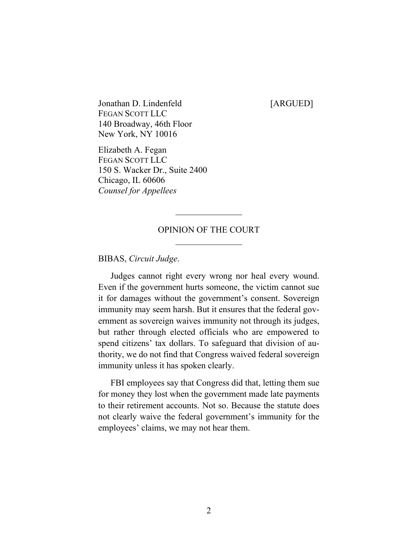Jonathan D. Lindenfeld [ARGUED] FEGAN SCOTT LLC 140 Broadway, 46th Floor New York, NY 10016

Elizabeth A. Fegan FEGAN SCOTT LLC 150 S. Wacker Dr., Suite 2400 Chicago, IL 60606 *Counsel for Appellees*

# OPINION OF THE COURT  $\frac{1}{2}$

 $\frac{1}{2}$ 

BIBAS, *Circuit Judge*.

Judges cannot right every wrong nor heal every wound. Even if the government hurts someone, the victim cannot sue it for damages without the government's consent. Sovereign immunity may seem harsh. But it ensures that the federal government as sovereign waives immunity not through its judges, but rather through elected officials who are empowered to spend citizens' tax dollars. To safeguard that division of authority, we do not find that Congress waived federal sovereign immunity unless it has spoken clearly.

FBI employees say that Congress did that, letting them sue for money they lost when the government made late payments to their retirement accounts. Not so. Because the statute does not clearly waive the federal government's immunity for the employees' claims, we may not hear them.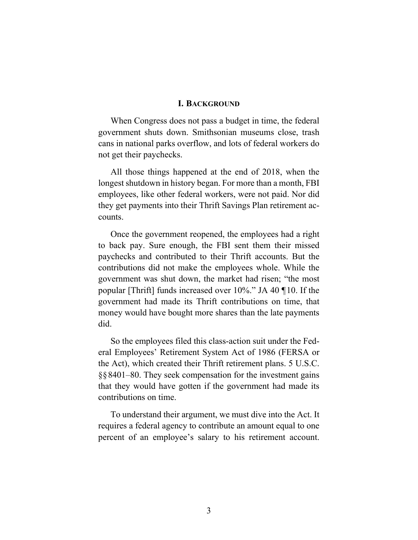#### **I. BACKGROUND**

When Congress does not pass a budget in time, the federal government shuts down. Smithsonian museums close, trash cans in national parks overflow, and lots of federal workers do not get their paychecks.

All those things happened at the end of 2018, when the longest shutdown in history began. For more than a month, FBI employees, like other federal workers, were not paid. Nor did they get payments into their Thrift Savings Plan retirement accounts.

Once the government reopened, the employees had a right to back pay. Sure enough, the FBI sent them their missed paychecks and contributed to their Thrift accounts. But the contributions did not make the employees whole. While the government was shut down, the market had risen; "the most popular [Thrift] funds increased over 10%." JA 40 ¶10. If the government had made its Thrift contributions on time, that money would have bought more shares than the late payments did.

So the employees filed this class-action suit under the Federal Employees' Retirement System Act of 1986 (FERSA or the Act), which created their Thrift retirement plans. 5 U.S.C. §§8401–80. They seek compensation for the investment gains that they would have gotten if the government had made its contributions on time.

To understand their argument, we must dive into the Act. It requires a federal agency to contribute an amount equal to one percent of an employee's salary to his retirement account.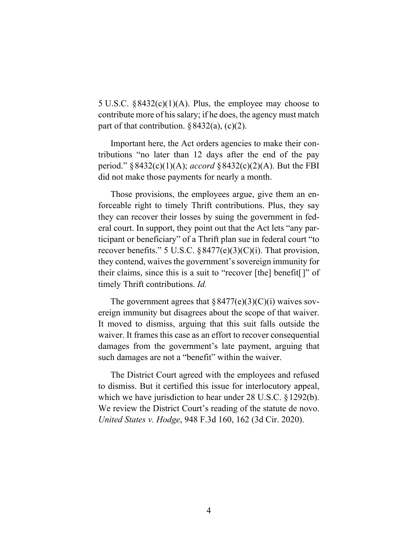5 U.S.C.  $§8432(c)(1)(A)$ . Plus, the employee may choose to contribute more of his salary; if he does, the agency must match part of that contribution.  $\S 8432(a)$ , (c)(2).

Important here, the Act orders agencies to make their contributions "no later than 12 days after the end of the pay period." §8432(c)(1)(A); *accord* §8432(c)(2)(A). But the FBI did not make those payments for nearly a month.

Those provisions, the employees argue, give them an enforceable right to timely Thrift contributions. Plus, they say they can recover their losses by suing the government in federal court. In support, they point out that the Act lets "any participant or beneficiary" of a Thrift plan sue in federal court "to recover benefits." 5 U.S.C.  $\S 8477(e)(3)(C)(i)$ . That provision, they contend, waives the government's sovereign immunity for their claims, since this is a suit to "recover [the] benefit[]" of timely Thrift contributions. *Id.*

The government agrees that  $\S 8477(e)(3)(C)(i)$  waives sovereign immunity but disagrees about the scope of that waiver. It moved to dismiss, arguing that this suit falls outside the waiver. It frames this case as an effort to recover consequential damages from the government's late payment, arguing that such damages are not a "benefit" within the waiver.

The District Court agreed with the employees and refused to dismiss. But it certified this issue for interlocutory appeal, which we have jurisdiction to hear under 28 U.S.C. §1292(b). We review the District Court's reading of the statute de novo. *United States v. Hodge*, 948 F.3d 160, 162 (3d Cir. 2020).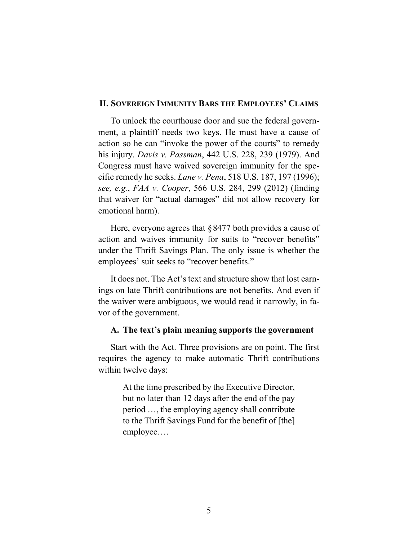### **II. SOVEREIGN IMMUNITY BARS THE EMPLOYEES' CLAIMS**

To unlock the courthouse door and sue the federal government, a plaintiff needs two keys. He must have a cause of action so he can "invoke the power of the courts" to remedy his injury. *Davis v. Passman*, 442 U.S. 228, 239 (1979). And Congress must have waived sovereign immunity for the specific remedy he seeks. *Lane v. Pena*, 518 U.S. 187, 197 (1996); *see, e.g.*, *FAA v. Cooper*, 566 U.S. 284, 299 (2012) (finding that waiver for "actual damages" did not allow recovery for emotional harm).

Here, everyone agrees that §8477 both provides a cause of action and waives immunity for suits to "recover benefits" under the Thrift Savings Plan. The only issue is whether the employees' suit seeks to "recover benefits."

It does not. The Act's text and structure show that lost earnings on late Thrift contributions are not benefits. And even if the waiver were ambiguous, we would read it narrowly, in favor of the government.

# **A. The text's plain meaning supports the government**

Start with the Act. Three provisions are on point. The first requires the agency to make automatic Thrift contributions within twelve days:

> At the time prescribed by the Executive Director, but no later than 12 days after the end of the pay period …, the employing agency shall contribute to the Thrift Savings Fund for the benefit of [the] employee….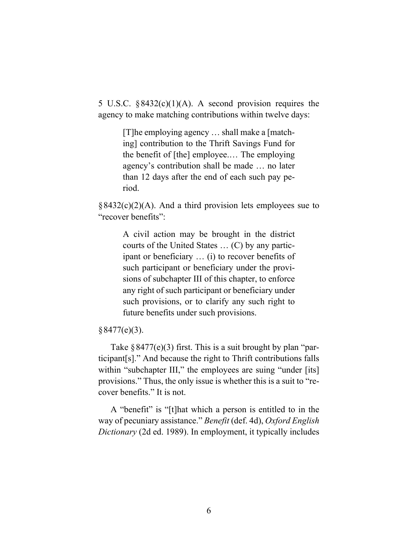5 U.S.C. §8432(c)(1)(A). A second provision requires the agency to make matching contributions within twelve days:

> [T]he employing agency … shall make a [matching] contribution to the Thrift Savings Fund for the benefit of [the] employee.… The employing agency's contribution shall be made … no later than 12 days after the end of each such pay period.

 $§8432(c)(2)(A)$ . And a third provision lets employees sue to "recover benefits":

> A civil action may be brought in the district courts of the United States … (C) by any participant or beneficiary … (i) to recover benefits of such participant or beneficiary under the provisions of subchapter III of this chapter, to enforce any right of such participant or beneficiary under such provisions, or to clarify any such right to future benefits under such provisions.

# $§ 8477(e)(3).$

Take  $\S 8477(e)(3)$  first. This is a suit brought by plan "participant[s]." And because the right to Thrift contributions falls within "subchapter III," the employees are suing "under [its] provisions." Thus, the only issue is whether this is a suit to "recover benefits." It is not.

A "benefit" is "[t]hat which a person is entitled to in the way of pecuniary assistance." *Benefit* (def. 4d), *Oxford English Dictionary* (2d ed. 1989). In employment, it typically includes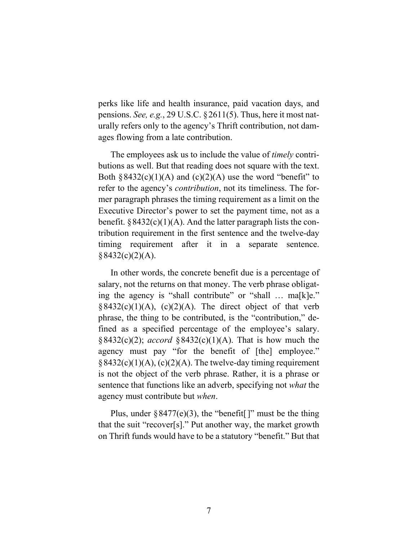perks like life and health insurance, paid vacation days, and pensions. *See, e.g.*, 29 U.S.C. §2611(5). Thus, here it most naturally refers only to the agency's Thrift contribution, not damages flowing from a late contribution.

The employees ask us to include the value of *timely* contributions as well. But that reading does not square with the text. Both  $§8432(c)(1)(A)$  and  $(c)(2)(A)$  use the word "benefit" to refer to the agency's *contribution*, not its timeliness. The former paragraph phrases the timing requirement as a limit on the Executive Director's power to set the payment time, not as a benefit.  $§ 8432(c)(1)(A)$ . And the latter paragraph lists the contribution requirement in the first sentence and the twelve-day timing requirement after it in a separate sentence.  $§ 8432(c)(2)(A).$ 

In other words, the concrete benefit due is a percentage of salary, not the returns on that money. The verb phrase obligating the agency is "shall contribute" or "shall … ma[k]e."  $§8432(c)(1)(A), (c)(2)(A).$  The direct object of that verb phrase, the thing to be contributed, is the "contribution," defined as a specified percentage of the employee's salary. §8432(c)(2); *accord* §8432(c)(1)(A). That is how much the agency must pay "for the benefit of [the] employee."  $§ 8432(c)(1)(A), (c)(2)(A)$ . The twelve-day timing requirement is not the object of the verb phrase. Rather, it is a phrase or sentence that functions like an adverb, specifying not *what* the agency must contribute but *when*.

Plus, under  $\S 8477(e)(3)$ , the "benefit ]" must be the thing that the suit "recover[s]." Put another way, the market growth on Thrift funds would have to be a statutory "benefit." But that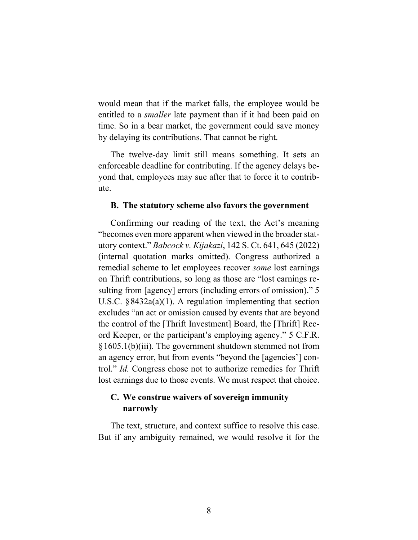would mean that if the market falls, the employee would be entitled to a *smaller* late payment than if it had been paid on time. So in a bear market, the government could save money by delaying its contributions. That cannot be right.

The twelve-day limit still means something. It sets an enforceable deadline for contributing. If the agency delays beyond that, employees may sue after that to force it to contribute.

#### **B. The statutory scheme also favors the government**

Confirming our reading of the text, the Act's meaning "becomes even more apparent when viewed in the broader statutory context." *Babcock v. Kijakazi*, 142 S. Ct. 641, 645 (2022) (internal quotation marks omitted). Congress authorized a remedial scheme to let employees recover *some* lost earnings on Thrift contributions, so long as those are "lost earnings resulting from [agency] errors (including errors of omission)." 5 U.S.C. §8432a(a)(1). A regulation implementing that section excludes "an act or omission caused by events that are beyond the control of the [Thrift Investment] Board, the [Thrift] Record Keeper, or the participant's employing agency." 5 C.F.R. §1605.1(b)(iii). The government shutdown stemmed not from an agency error, but from events "beyond the [agencies'] control." *Id.* Congress chose not to authorize remedies for Thrift lost earnings due to those events. We must respect that choice.

# **C. We construe waivers of sovereign immunity narrowly**

The text, structure, and context suffice to resolve this case. But if any ambiguity remained, we would resolve it for the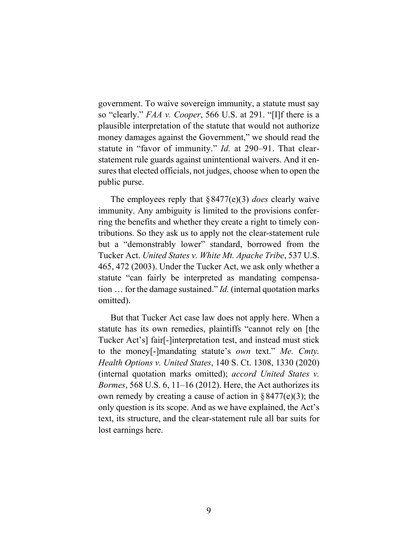government. To waive sovereign immunity, a statute must say so "clearly." *FAA v. Cooper*, 566 U.S. at 291. "[I]f there is a plausible interpretation of the statute that would not authorize money damages against the Government," we should read the statute in "favor of immunity." *Id.* at 290–91. That clearstatement rule guards against unintentional waivers. And it ensures that elected officials, not judges, choose when to open the public purse.

The employees reply that §8477(e)(3) *does* clearly waive immunity. Any ambiguity is limited to the provisions conferring the benefits and whether they create a right to timely contributions. So they ask us to apply not the clear-statement rule but a "demonstrably lower" standard, borrowed from the Tucker Act. *United States v. White Mt. Apache Tribe*, 537 U.S. 465, 472 (2003). Under the Tucker Act, we ask only whether a statute "can fairly be interpreted as mandating compensation … for the damage sustained." *Id.* (internal quotation marks omitted).

But that Tucker Act case law does not apply here. When a statute has its own remedies, plaintiffs "cannot rely on [the Tucker Act's] fair[-]interpretation test, and instead must stick to the money[-]mandating statute's *own* text." *Me. Cmty. Health Options v. United States*, 140 S. Ct. 1308, 1330 (2020) (internal quotation marks omitted); *accord United States v. Bormes*, 568 U.S. 6, 11–16 (2012). Here, the Act authorizes its own remedy by creating a cause of action in  $\S 8477(e)(3)$ ; the only question is its scope. And as we have explained, the Act's text, its structure, and the clear-statement rule all bar suits for lost earnings here.